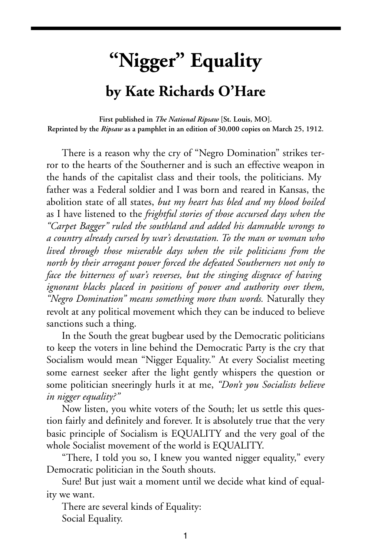## **"Nigger" Equality**

## **by Kate Richards O'Hare**

**First published in** *The National Ripsaw* **[St. Louis, MO]. Reprinted by the** *Ripsaw* **as a pamphlet in an edition of 30,000 copies on March 25, 1912.**

There is a reason why the cry of "Negro Domination" strikes terror to the hearts of the Southerner and is such an effective weapon in the hands of the capitalist class and their tools, the politicians. My father was a Federal soldier and I was born and reared in Kansas, the abolition state of all states, *but my heart has bled and my blood boiled* as I have listened to the *frightful stories of those accursed days when the "Carpet Bagger" ruled the southland and added his damnable wrongs to a country already cursed by war's devastation. To the man or woman who lived through those miserable days when the vile politicians from the north by their arrogant power forced the defeated Southerners not only to face the bitterness of war's reverses, but the stinging disgrace of having ignorant blacks placed in positions of power and authority over them, "Negro Domination" means something more than words.* Naturally they revolt at any political movement which they can be induced to believe sanctions such a thing.

In the South the great bugbear used by the Democratic politicians to keep the voters in line behind the Democratic Party is the cry that Socialism would mean "Nigger Equality." At every Socialist meeting some earnest seeker after the light gently whispers the question or some politician sneeringly hurls it at me, *"Don't you Socialists believe in nigger equality?"*

Now listen, you white voters of the South; let us settle this question fairly and definitely and forever. It is absolutely true that the very basic principle of Socialism is EQUALITY and the very goal of the whole Socialist movement of the world is EQUALITY.

"There, I told you so, I knew you wanted nigger equality," every Democratic politician in the South shouts.

Sure! But just wait a moment until we decide what kind of equality we want.

There are several kinds of Equality: Social Equality.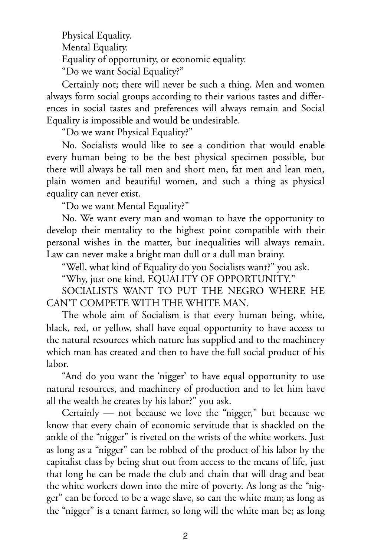Physical Equality. Mental Equality. Equality of opportunity, or economic equality. "Do we want Social Equality?"

Certainly not; there will never be such a thing. Men and women always form social groups according to their various tastes and differences in social tastes and preferences will always remain and Social Equality is impossible and would be undesirable.

"Do we want Physical Equality?"

No. Socialists would like to see a condition that would enable every human being to be the best physical specimen possible, but there will always be tall men and short men, fat men and lean men, plain women and beautiful women, and such a thing as physical equality can never exist.

"Do we want Mental Equality?"

No. We want every man and woman to have the opportunity to develop their mentality to the highest point compatible with their personal wishes in the matter, but inequalities will always remain. Law can never make a bright man dull or a dull man brainy.

"Well, what kind of Equality do you Socialists want?" you ask.

"Why, just one kind, EQUALITY OF OPPORTUNITY."

SOCIALISTS WANT TO PUT THE NEGRO WHERE HE CAN'T COMPETE WITH THE WHITE MAN.

The whole aim of Socialism is that every human being, white, black, red, or yellow, shall have equal opportunity to have access to the natural resources which nature has supplied and to the machinery which man has created and then to have the full social product of his labor.

"And do you want the 'nigger' to have equal opportunity to use natural resources, and machinery of production and to let him have all the wealth he creates by his labor?" you ask.

Certainly — not because we love the "nigger," but because we know that every chain of economic servitude that is shackled on the ankle of the "nigger" is riveted on the wrists of the white workers. Just as long as a "nigger" can be robbed of the product of his labor by the capitalist class by being shut out from access to the means of life, just that long he can be made the club and chain that will drag and beat the white workers down into the mire of poverty. As long as the "nigger" can be forced to be a wage slave, so can the white man; as long as the "nigger" is a tenant farmer, so long will the white man be; as long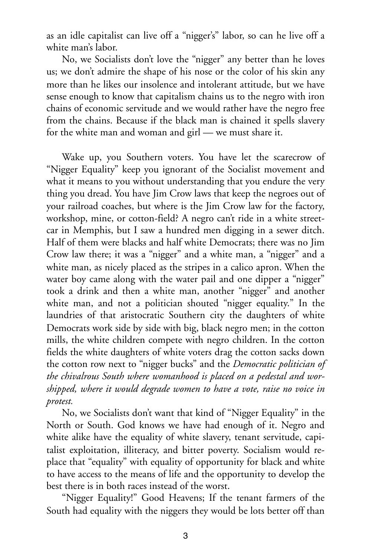as an idle capitalist can live off a "nigger's" labor, so can he live off a white man's labor.

No, we Socialists don't love the "nigger" any better than he loves us; we don't admire the shape of his nose or the color of his skin any more than he likes our insolence and intolerant attitude, but we have sense enough to know that capitalism chains us to the negro with iron chains of economic servitude and we would rather have the negro free from the chains. Because if the black man is chained it spells slavery for the white man and woman and girl — we must share it.

Wake up, you Southern voters. You have let the scarecrow of "Nigger Equality" keep you ignorant of the Socialist movement and what it means to you without understanding that you endure the very thing you dread. You have Jim Crow laws that keep the negroes out of your railroad coaches, but where is the Jim Crow law for the factory, workshop, mine, or cotton-field? A negro can't ride in a white streetcar in Memphis, but I saw a hundred men digging in a sewer ditch. Half of them were blacks and half white Democrats; there was no Jim Crow law there; it was a "nigger" and a white man, a "nigger" and a white man, as nicely placed as the stripes in a calico apron. When the water boy came along with the water pail and one dipper a "nigger" took a drink and then a white man, another "nigger" and another white man, and not a politician shouted "nigger equality." In the laundries of that aristocratic Southern city the daughters of white Democrats work side by side with big, black negro men; in the cotton mills, the white children compete with negro children. In the cotton fields the white daughters of white voters drag the cotton sacks down the cotton row next to "nigger bucks" and the *Democratic politician of the chivalrous South where womanhood is placed on a pedestal and worshipped, where it would degrade women to have a vote, raise no voice in protest.*

No, we Socialists don't want that kind of "Nigger Equality" in the North or South. God knows we have had enough of it. Negro and white alike have the equality of white slavery, tenant servitude, capitalist exploitation, illiteracy, and bitter poverty. Socialism would replace that "equality" with equality of opportunity for black and white to have access to the means of life and the opportunity to develop the best there is in both races instead of the worst.

"Nigger Equality!" Good Heavens; If the tenant farmers of the South had equality with the niggers they would be lots better off than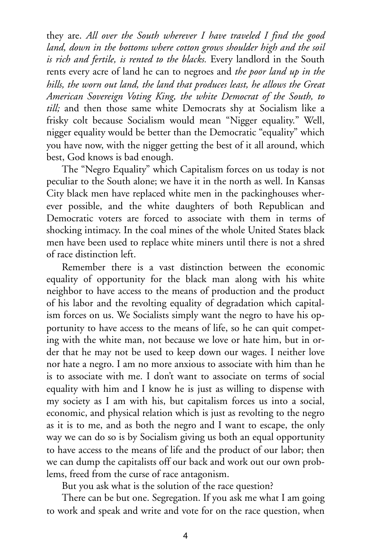they are. *All over the South wherever I have traveled I find the good land, down in the bottoms where cotton grows shoulder high and the soil is rich and fertile, is rented to the blacks.* Every landlord in the South rents every acre of land he can to negroes and *the poor land up in the hills, the worn out land, the land that produces least, he allows the Great American Sovereign Voting King, the white Democrat of the South, to till;* and then those same white Democrats shy at Socialism like a frisky colt because Socialism would mean "Nigger equality." Well, nigger equality would be better than the Democratic "equality" which you have now, with the nigger getting the best of it all around, which best, God knows is bad enough.

The "Negro Equality" which Capitalism forces on us today is not peculiar to the South alone; we have it in the north as well. In Kansas City black men have replaced white men in the packinghouses wherever possible, and the white daughters of both Republican and Democratic voters are forced to associate with them in terms of shocking intimacy. In the coal mines of the whole United States black men have been used to replace white miners until there is not a shred of race distinction left.

Remember there is a vast distinction between the economic equality of opportunity for the black man along with his white neighbor to have access to the means of production and the product of his labor and the revolting equality of degradation which capitalism forces on us. We Socialists simply want the negro to have his opportunity to have access to the means of life, so he can quit competing with the white man, not because we love or hate him, but in order that he may not be used to keep down our wages. I neither love nor hate a negro. I am no more anxious to associate with him than he is to associate with me. I don't want to associate on terms of social equality with him and I know he is just as willing to dispense with my society as I am with his, but capitalism forces us into a social, economic, and physical relation which is just as revolting to the negro as it is to me, and as both the negro and I want to escape, the only way we can do so is by Socialism giving us both an equal opportunity to have access to the means of life and the product of our labor; then we can dump the capitalists off our back and work out our own problems, freed from the curse of race antagonism.

But you ask what is the solution of the race question?

There can be but one. Segregation. If you ask me what I am going to work and speak and write and vote for on the race question, when